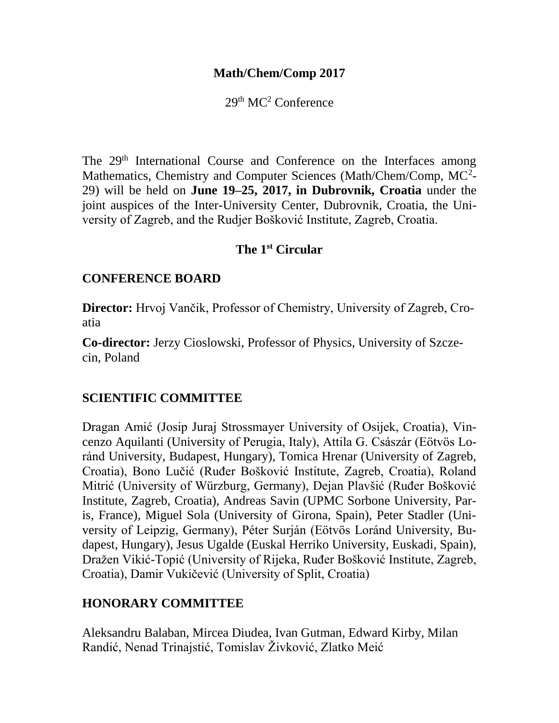#### **Math/Chem/Comp 2017**

 $29<sup>th</sup> MC<sup>2</sup> Conference$ 

The 29<sup>th</sup> International Course and Conference on the Interfaces among Mathematics, Chemistry and Computer Sciences (Math/Chem/Comp, MC<sup>2</sup>-29) will be held on **June 19–25, 2017, in Dubrovnik, Croatia** under the joint auspices of the Inter-University Center, Dubrovnik, Croatia, the University of Zagreb, and the Rudjer Bošković Institute, Zagreb, Croatia.

#### **The 1st [Circular](https://www.pmf.unizg.hr/images/50010461/MCC2015_2nd_Circular.pdf)**

#### **CONFERENCE BOARD**

**Director:** Hrvoj Vančik, Professor of Chemistry, University of Zagreb, Croatia

**Co-director:** Jerzy Cioslowski, Professor of Physics, University of Szczecin, Poland

## **SCIENTIFIC COMMITTEE**

Dragan Amić (Josip Juraj Strossmayer University of Osijek, Croatia), Vincenzo Aquilanti (University of Perugia, Italy), Attila G. Császár (Eötvös Loránd University, Budapest, Hungary), Tomica Hrenar (University of Zagreb, Croatia), Bono Lučić (Ruđer Bošković Institute, Zagreb, Croatia), Roland Mitrić (University of Würzburg, Germany), Dejan Plavšić (Ruđer Bošković Institute, Zagreb, Croatia), Andreas Savin (UPMC Sorbone University, Paris, France), Miguel Sola (University of Girona, Spain), Peter Stadler (University of Leipzig, Germany), Péter Surján (Eötvös Loránd University, Budapest, Hungary), Jesus Ugalde (Euskal Herriko University, Euskadi, Spain), Dražen Vikić-Topić (University of Rijeka, Ruđer Bošković Institute, Zagreb, Croatia), Damir Vukičević (University of Split, Croatia)

## **HONORARY COMMITTEE**

Aleksandru Balaban, Mircea Diudea, Ivan Gutman, Edward Kirby, Milan Randić, Nenad Trinajstić, Tomislav Živković, Zlatko Meić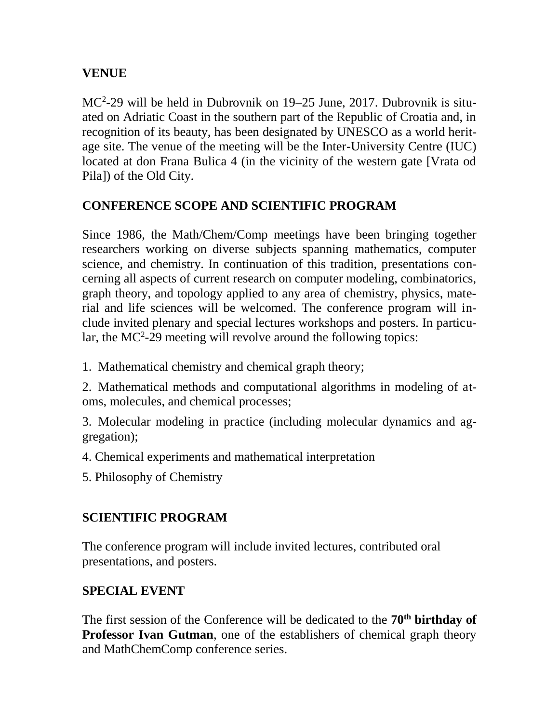## **VENUE**

MC<sup>2</sup> -29 will be held in Dubrovnik on 19–25 June, 2017. Dubrovnik is situated on Adriatic Coast in the southern part of the Republic of Croatia and, in recognition of its beauty, has been designated by UNESCO as a world heritage site. The venue of the meeting will be the Inter-University Centre (IUC) located at don Frana Bulica 4 (in the vicinity of the western gate [Vrata od Pila]) of the Old City.

# **CONFERENCE SCOPE AND SCIENTIFIC PROGRAM**

Since 1986, the Math/Chem/Comp meetings have been bringing together researchers working on diverse subjects spanning mathematics, computer science, and chemistry. In continuation of this tradition, presentations concerning all aspects of current research on computer modeling, combinatorics, graph theory, and topology applied to any area of chemistry, physics, material and life sciences will be welcomed. The conference program will include invited plenary and special lectures workshops and posters. In particular, the  $MC^2-29$  meeting will revolve around the following topics:

1. Mathematical chemistry and chemical graph theory;

2. Mathematical methods and computational algorithms in modeling of atoms, molecules, and chemical processes;

3. Molecular modeling in practice (including molecular dynamics and aggregation);

4. Chemical experiments and mathematical interpretation

5. Philosophy of Chemistry

# **SCIENTIFIC PROGRAM**

The conference program will include invited lectures, contributed oral presentations, and posters.

## **SPECIAL EVENT**

The first session of the Conference will be dedicated to the **70th birthday of Professor Ivan Gutman**, one of the establishers of chemical graph theory and MathChemComp conference series.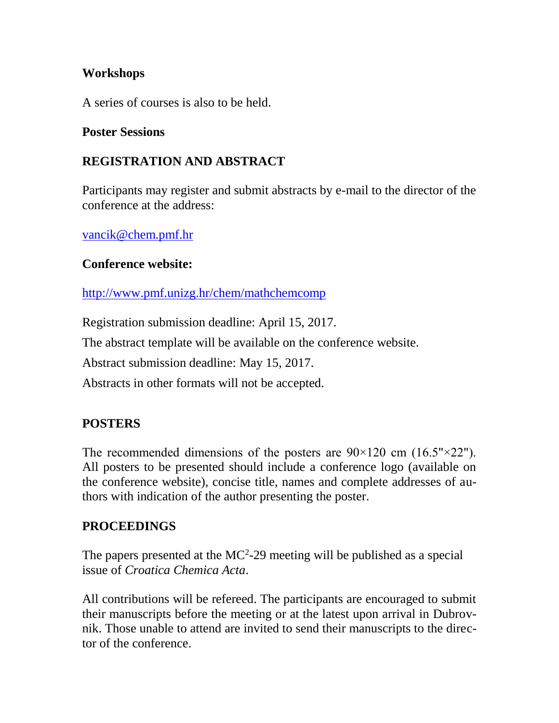#### **Workshops**

A series of courses is also to be held.

#### **Poster Sessions**

# **REGISTRATION AND ABSTRACT**

Participants may register and submit abstracts by e-mail to the director of the conference at the address:

[vancik@chem.pmf.hr](javascript:cms_mail()

#### **Conference website:**

<http://www.pmf.unizg.hr/chem/mathchemcomp>

Registration submission deadline: April 15, 2017.

The abstract template will be available on the conference website.

Abstract submission deadline: May 15, 2017.

Abstracts in other formats will not be accepted.

## **POSTERS**

The recommended dimensions of the posters are  $90\times120$  cm  $(16.5" \times 22")$ . All posters to be presented should include a conference logo (available on the conference website), concise title, names and complete addresses of authors with indication of the author presenting the poster.

## **PROCEEDINGS**

The papers presented at the  $MC<sup>2</sup> - 29$  meeting will be published as a special issue of *Croatica Chemica Acta*.

All contributions will be refereed. The participants are encouraged to submit their manuscripts before the meeting or at the latest upon arrival in Dubrovnik. Those unable to attend are invited to send their manuscripts to the director of the conference.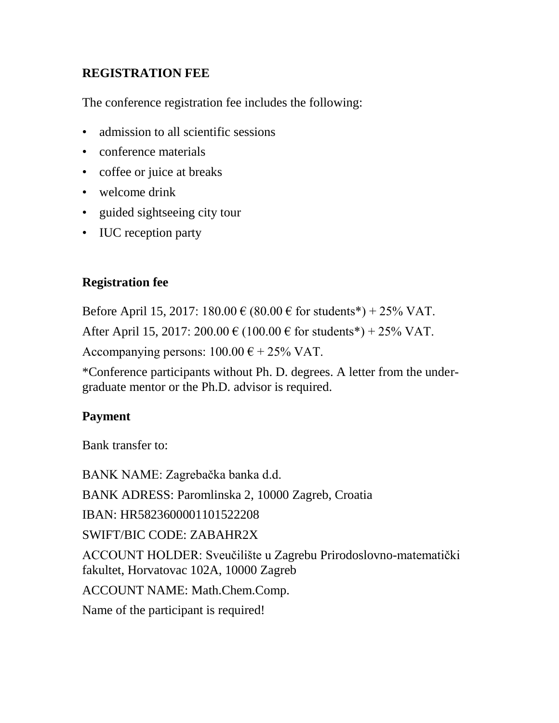# **REGISTRATION FEE**

The conference registration fee includes the following:

- admission to all scientific sessions
- conference materials
- coffee or juice at breaks
- welcome drink
- guided sightseeing city tour
- IUC reception party

# **Registration fee**

Before April 15, 2017: 180.00 € (80.00 € for students\*) + 25% VAT.

After April 15, 2017: 200.00  $\in$  (100.00  $\in$  for students\*) + 25% VAT.

Accompanying persons:  $100.00 \text{ }\epsilon + 25\% \text{ }\text{VAT}.$ 

\*Conference participants without Ph. D. degrees. A letter from the undergraduate mentor or the Ph.D. advisor is required.

# **Payment**

Bank transfer to:

BANK NAME: Zagrebačka banka d.d. BANK ADRESS: Paromlinska 2, 10000 Zagreb, Croatia IBAN: HR5823600001101522208 SWIFT/BIC CODE: ZABAHR2X ACCOUNT HOLDER: Sveučilište u Zagrebu Prirodoslovno-matematički fakultet, Horvatovac 102A, 10000 Zagreb ACCOUNT NAME: Math.Chem.Comp. Name of the participant is required!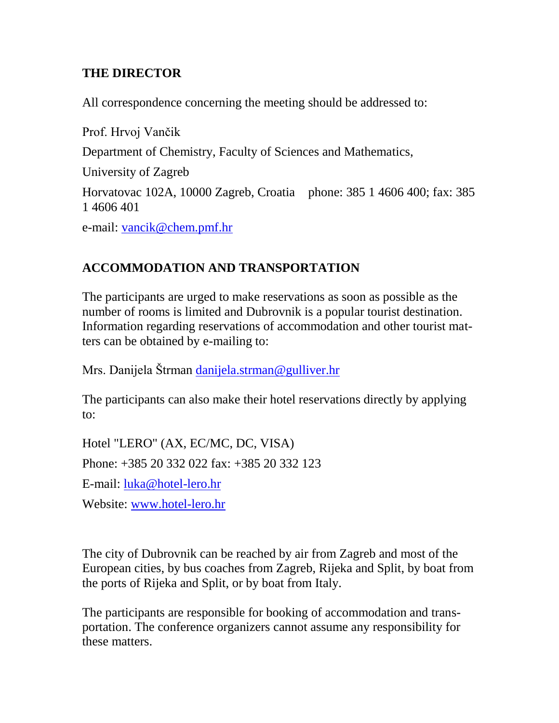## **THE DIRECTOR**

All correspondence concerning the meeting should be addressed to:

Prof. Hrvoj Vančik Department of Chemistry, Faculty of Sciences and Mathematics, University of Zagreb Horvatovac 102A, 10000 Zagreb, Croatia phone: 385 1 4606 400; fax: 385 1 4606 401 e-mail: [vancik@chem.pmf.hr](javascript:cms_mail()

# **ACCOMMODATION AND TRANSPORTATION**

The participants are urged to make reservations as soon as possible as the number of rooms is limited and Dubrovnik is a popular tourist destination. Information regarding reservations of accommodation and other tourist matters can be obtained by e-mailing to:

Mrs. Danijela Štrman [danijela.strman@gulliver.hr](mailto:danijela.strman@gulliver.hr)

The participants can also make their hotel reservations directly by applying to:

Hotel "LERO" (AX, EC/MC, DC, VISA) Phone: +385 20 332 022 fax: +385 20 332 123 E-mail: [luka@hotel-lero.hr](javascript:cms_mail() Website: [www.hotel-lero.hr](http://www.hotel-lero.hr/)

The city of Dubrovnik can be reached by air from Zagreb and most of the European cities, by bus coaches from Zagreb, Rijeka and Split, by boat from the ports of Rijeka and Split, or by boat from Italy.

The participants are responsible for booking of accommodation and transportation. The conference organizers cannot assume any responsibility for these matters.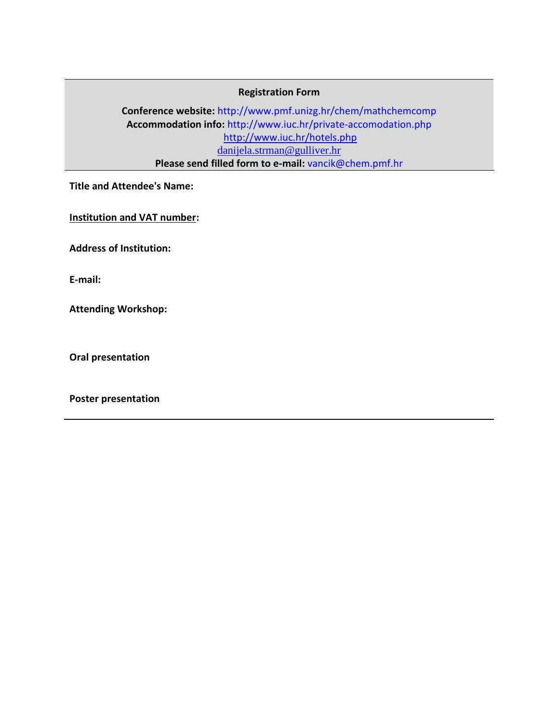#### **Registration Form**

**Conference website:** http://www.pmf.unizg.hr/chem/mathchemcomp **Accommodation info:** http://www.iuc.hr/private-accomodation.php <http://www.iuc.hr/hotels.php> [danijela.strman@gulliver.hr](mailto:danijela.strman@gulliver.hr) **Please send filled form to e-mail:** vancik@chem.pmf.hr

**Title and Attendee's Name:**

**Institution and VAT number:**

**Address of Institution:**

**E-mail:**

**Attending Workshop:** 

**Oral presentation**

**Poster presentation**